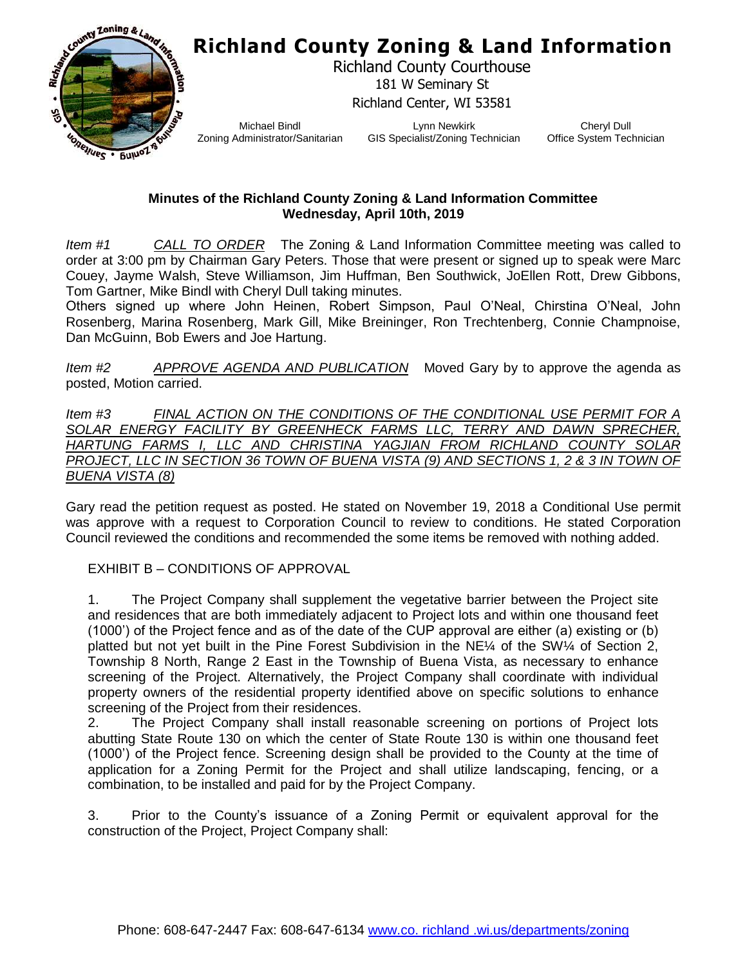

Richland County Courthouse 181 W Seminary St Richland Center, WI 53581

Michael Bindl Zoning Administrator/Sanitarian

Lynn Newkirk GIS Specialist/Zoning Technician

Cheryl Dull Office System Technician

#### **Minutes of the Richland County Zoning & Land Information Committee Wednesday, April 10th, 2019**

*Item #1 CALL TO ORDER* The Zoning & Land Information Committee meeting was called to order at 3:00 pm by Chairman Gary Peters. Those that were present or signed up to speak were Marc Couey, Jayme Walsh, Steve Williamson, Jim Huffman, Ben Southwick, JoEllen Rott, Drew Gibbons, Tom Gartner, Mike Bindl with Cheryl Dull taking minutes.

Others signed up where John Heinen, Robert Simpson, Paul O'Neal, Chirstina O'Neal, John Rosenberg, Marina Rosenberg, Mark Gill, Mike Breininger, Ron Trechtenberg, Connie Champnoise, Dan McGuinn, Bob Ewers and Joe Hartung.

*Item #2 APPROVE AGENDA AND PUBLICATION* Moved Gary by to approve the agenda as posted, Motion carried.

*Item #3 FINAL ACTION ON THE CONDITIONS OF THE CONDITIONAL USE PERMIT FOR A SOLAR ENERGY FACILITY BY GREENHECK FARMS LLC, TERRY AND DAWN SPRECHER, HARTUNG FARMS I, LLC AND CHRISTINA YAGJIAN FROM RICHLAND COUNTY SOLAR PROJECT, LLC IN SECTION 36 TOWN OF BUENA VISTA (9) AND SECTIONS 1, 2 & 3 IN TOWN OF BUENA VISTA (8)*

Gary read the petition request as posted. He stated on November 19, 2018 a Conditional Use permit was approve with a request to Corporation Council to review to conditions. He stated Corporation Council reviewed the conditions and recommended the some items be removed with nothing added.

### EXHIBIT B – CONDITIONS OF APPROVAL

1. The Project Company shall supplement the vegetative barrier between the Project site and residences that are both immediately adjacent to Project lots and within one thousand feet (1000') of the Project fence and as of the date of the CUP approval are either (a) existing or (b) platted but not yet built in the Pine Forest Subdivision in the NE¼ of the SW¼ of Section 2, Township 8 North, Range 2 East in the Township of Buena Vista, as necessary to enhance screening of the Project. Alternatively, the Project Company shall coordinate with individual property owners of the residential property identified above on specific solutions to enhance screening of the Project from their residences.

2. The Project Company shall install reasonable screening on portions of Project lots abutting State Route 130 on which the center of State Route 130 is within one thousand feet (1000') of the Project fence. Screening design shall be provided to the County at the time of application for a Zoning Permit for the Project and shall utilize landscaping, fencing, or a combination, to be installed and paid for by the Project Company.

3. Prior to the County's issuance of a Zoning Permit or equivalent approval for the construction of the Project, Project Company shall: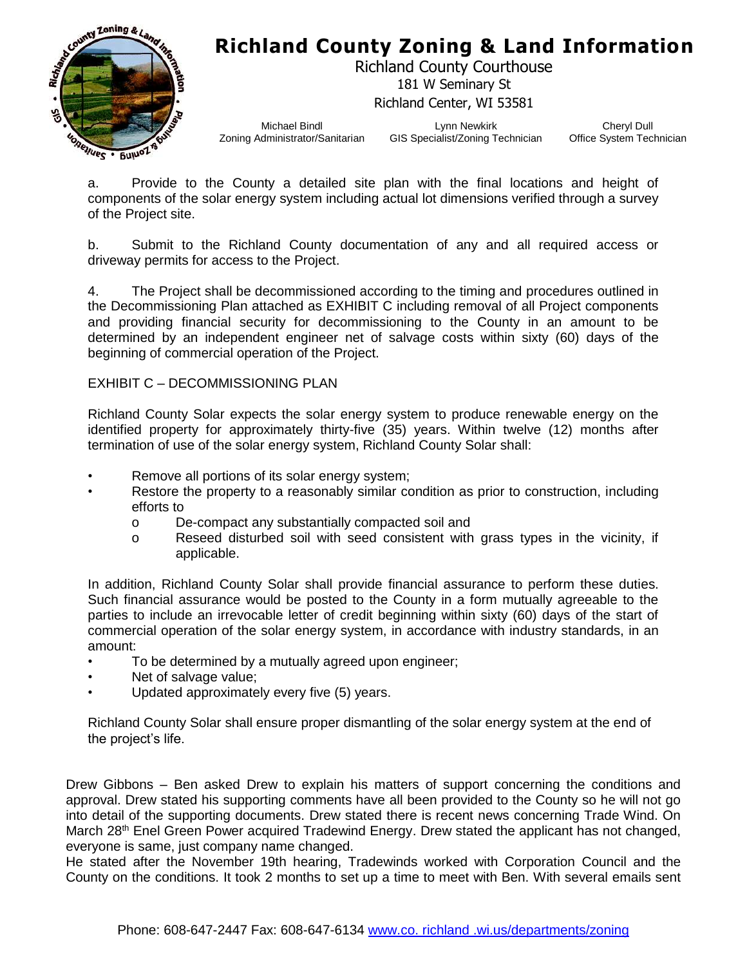



Richland County Courthouse 181 W Seminary St Richland Center, WI 53581

Michael Bindl Zoning Administrator/Sanitarian

Lynn Newkirk GIS Specialist/Zoning Technician

Cheryl Dull Office System Technician

a. Provide to the County a detailed site plan with the final locations and height of components of the solar energy system including actual lot dimensions verified through a survey of the Project site.

b. Submit to the Richland County documentation of any and all required access or driveway permits for access to the Project.

4. The Project shall be decommissioned according to the timing and procedures outlined in the Decommissioning Plan attached as EXHIBIT C including removal of all Project components and providing financial security for decommissioning to the County in an amount to be determined by an independent engineer net of salvage costs within sixty (60) days of the beginning of commercial operation of the Project.

#### EXHIBIT C – DECOMMISSIONING PLAN

Richland County Solar expects the solar energy system to produce renewable energy on the identified property for approximately thirty-five (35) years. Within twelve (12) months after termination of use of the solar energy system, Richland County Solar shall:

- Remove all portions of its solar energy system;
- Restore the property to a reasonably similar condition as prior to construction, including efforts to
	- o De-compact any substantially compacted soil and
	- o Reseed disturbed soil with seed consistent with grass types in the vicinity, if applicable.

In addition, Richland County Solar shall provide financial assurance to perform these duties. Such financial assurance would be posted to the County in a form mutually agreeable to the parties to include an irrevocable letter of credit beginning within sixty (60) days of the start of commercial operation of the solar energy system, in accordance with industry standards, in an amount:

- To be determined by a mutually agreed upon engineer;
- Net of salvage value;
- Updated approximately every five (5) years.

Richland County Solar shall ensure proper dismantling of the solar energy system at the end of the project's life.

Drew Gibbons – Ben asked Drew to explain his matters of support concerning the conditions and approval. Drew stated his supporting comments have all been provided to the County so he will not go into detail of the supporting documents. Drew stated there is recent news concerning Trade Wind. On March 28<sup>th</sup> Enel Green Power acquired Tradewind Energy. Drew stated the applicant has not changed, everyone is same, just company name changed.

He stated after the November 19th hearing, Tradewinds worked with Corporation Council and the County on the conditions. It took 2 months to set up a time to meet with Ben. With several emails sent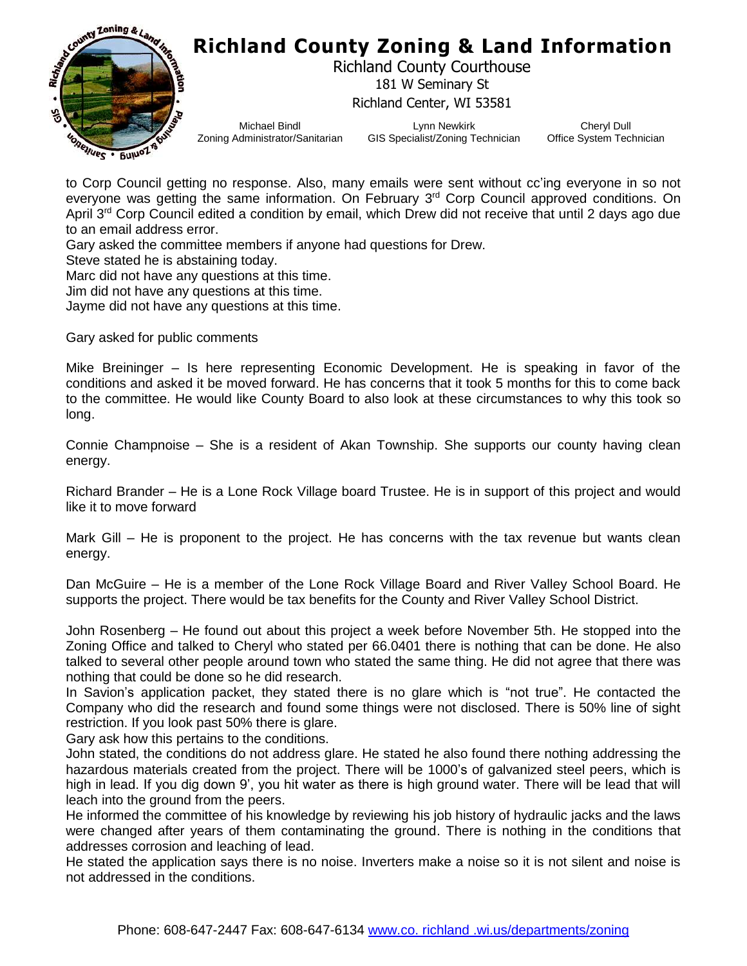

Richland County Courthouse 181 W Seminary St Richland Center, WI 53581

Michael Bindl Zoning Administrator/Sanitarian

Lynn Newkirk GIS Specialist/Zoning Technician

Cheryl Dull Office System Technician

to Corp Council getting no response. Also, many emails were sent without cc'ing everyone in so not everyone was getting the same information. On February 3<sup>rd</sup> Corp Council approved conditions. On April 3<sup>rd</sup> Corp Council edited a condition by email, which Drew did not receive that until 2 days ago due to an email address error.

Gary asked the committee members if anyone had questions for Drew.

Steve stated he is abstaining today.

Marc did not have any questions at this time.

Jim did not have any questions at this time.

Jayme did not have any questions at this time.

Gary asked for public comments

Mike Breininger – Is here representing Economic Development. He is speaking in favor of the conditions and asked it be moved forward. He has concerns that it took 5 months for this to come back to the committee. He would like County Board to also look at these circumstances to why this took so long.

Connie Champnoise – She is a resident of Akan Township. She supports our county having clean energy.

Richard Brander – He is a Lone Rock Village board Trustee. He is in support of this project and would like it to move forward

Mark Gill – He is proponent to the project. He has concerns with the tax revenue but wants clean energy.

Dan McGuire – He is a member of the Lone Rock Village Board and River Valley School Board. He supports the project. There would be tax benefits for the County and River Valley School District.

John Rosenberg – He found out about this project a week before November 5th. He stopped into the Zoning Office and talked to Cheryl who stated per 66.0401 there is nothing that can be done. He also talked to several other people around town who stated the same thing. He did not agree that there was nothing that could be done so he did research.

In Savion's application packet, they stated there is no glare which is "not true". He contacted the Company who did the research and found some things were not disclosed. There is 50% line of sight restriction. If you look past 50% there is glare.

Gary ask how this pertains to the conditions.

John stated, the conditions do not address glare. He stated he also found there nothing addressing the hazardous materials created from the project. There will be 1000's of galvanized steel peers, which is high in lead. If you dig down 9', you hit water as there is high ground water. There will be lead that will leach into the ground from the peers.

He informed the committee of his knowledge by reviewing his job history of hydraulic jacks and the laws were changed after years of them contaminating the ground. There is nothing in the conditions that addresses corrosion and leaching of lead.

He stated the application says there is no noise. Inverters make a noise so it is not silent and noise is not addressed in the conditions.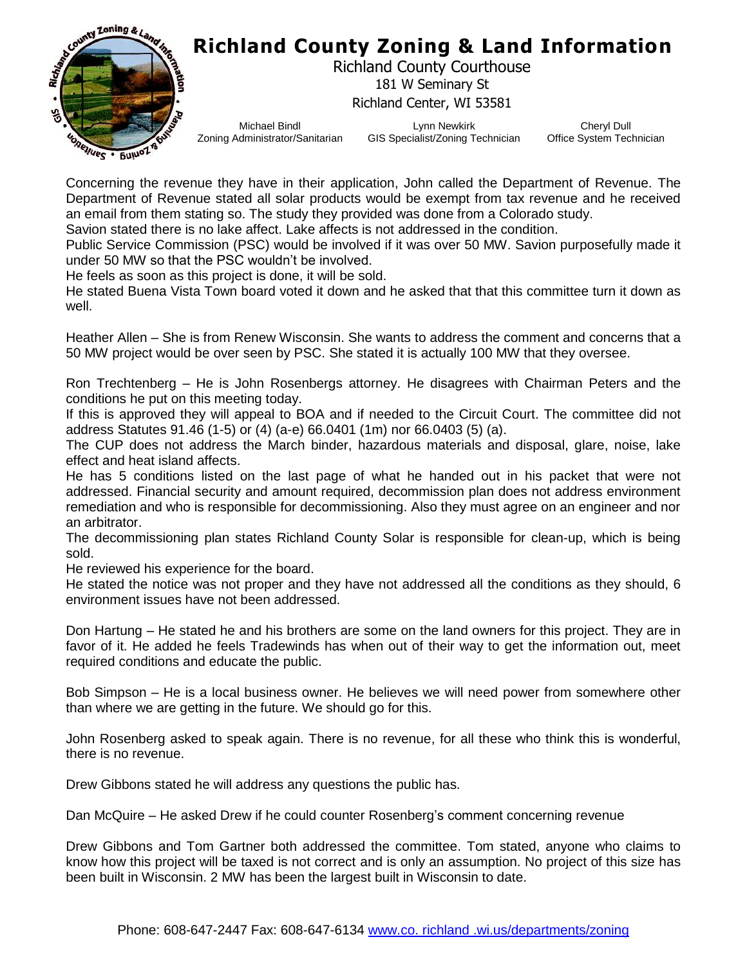

Richland County Courthouse 181 W Seminary St Richland Center, WI 53581

Michael Bindl Zoning Administrator/Sanitarian

Lynn Newkirk GIS Specialist/Zoning Technician

Cheryl Dull Office System Technician

Concerning the revenue they have in their application, John called the Department of Revenue. The Department of Revenue stated all solar products would be exempt from tax revenue and he received an email from them stating so. The study they provided was done from a Colorado study.

Savion stated there is no lake affect. Lake affects is not addressed in the condition.

Public Service Commission (PSC) would be involved if it was over 50 MW. Savion purposefully made it under 50 MW so that the PSC wouldn't be involved.

He feels as soon as this project is done, it will be sold.

He stated Buena Vista Town board voted it down and he asked that that this committee turn it down as well.

Heather Allen – She is from Renew Wisconsin. She wants to address the comment and concerns that a 50 MW project would be over seen by PSC. She stated it is actually 100 MW that they oversee.

Ron Trechtenberg – He is John Rosenbergs attorney. He disagrees with Chairman Peters and the conditions he put on this meeting today.

If this is approved they will appeal to BOA and if needed to the Circuit Court. The committee did not address Statutes 91.46 (1-5) or (4) (a-e) 66.0401 (1m) nor 66.0403 (5) (a).

The CUP does not address the March binder, hazardous materials and disposal, glare, noise, lake effect and heat island affects.

He has 5 conditions listed on the last page of what he handed out in his packet that were not addressed. Financial security and amount required, decommission plan does not address environment remediation and who is responsible for decommissioning. Also they must agree on an engineer and nor an arbitrator.

The decommissioning plan states Richland County Solar is responsible for clean-up, which is being sold.

He reviewed his experience for the board.

He stated the notice was not proper and they have not addressed all the conditions as they should, 6 environment issues have not been addressed.

Don Hartung – He stated he and his brothers are some on the land owners for this project. They are in favor of it. He added he feels Tradewinds has when out of their way to get the information out, meet required conditions and educate the public.

Bob Simpson – He is a local business owner. He believes we will need power from somewhere other than where we are getting in the future. We should go for this.

John Rosenberg asked to speak again. There is no revenue, for all these who think this is wonderful, there is no revenue.

Drew Gibbons stated he will address any questions the public has.

Dan McQuire – He asked Drew if he could counter Rosenberg's comment concerning revenue

Drew Gibbons and Tom Gartner both addressed the committee. Tom stated, anyone who claims to know how this project will be taxed is not correct and is only an assumption. No project of this size has been built in Wisconsin. 2 MW has been the largest built in Wisconsin to date.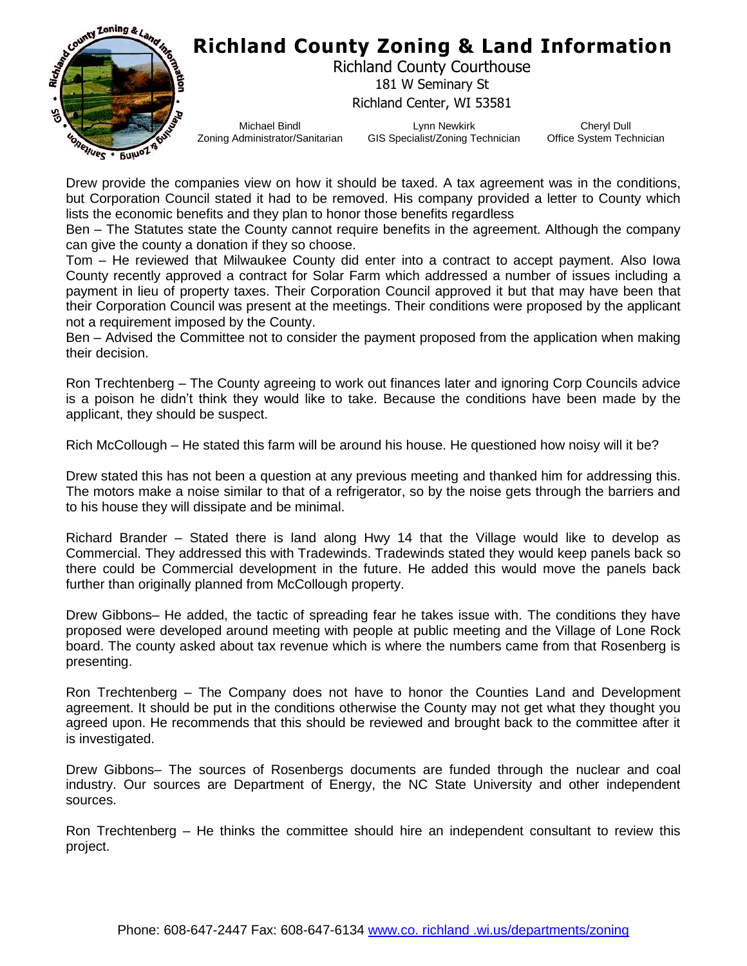

Richland County Courthouse 181 W Seminary St Richland Center, WI 53581

Michael Bindl Zoning Administrator/Sanitarian

Lynn Newkirk GIS Specialist/Zoning Technician

Cheryl Dull Office System Technician

Drew provide the companies view on how it should be taxed. A tax agreement was in the conditions, but Corporation Council stated it had to be removed. His company provided a letter to County which lists the economic benefits and they plan to honor those benefits regardless

Ben – The Statutes state the County cannot require benefits in the agreement. Although the company can give the county a donation if they so choose.

Tom – He reviewed that Milwaukee County did enter into a contract to accept payment. Also Iowa County recently approved a contract for Solar Farm which addressed a number of issues including a payment in lieu of property taxes. Their Corporation Council approved it but that may have been that their Corporation Council was present at the meetings. Their conditions were proposed by the applicant not a requirement imposed by the County.

Ben – Advised the Committee not to consider the payment proposed from the application when making their decision.

Ron Trechtenberg – The County agreeing to work out finances later and ignoring Corp Councils advice is a poison he didn't think they would like to take. Because the conditions have been made by the applicant, they should be suspect.

Rich McCollough – He stated this farm will be around his house. He questioned how noisy will it be?

Drew stated this has not been a question at any previous meeting and thanked him for addressing this. The motors make a noise similar to that of a refrigerator, so by the noise gets through the barriers and to his house they will dissipate and be minimal.

Richard Brander – Stated there is land along Hwy 14 that the Village would like to develop as Commercial. They addressed this with Tradewinds. Tradewinds stated they would keep panels back so there could be Commercial development in the future. He added this would move the panels back further than originally planned from McCollough property.

Drew Gibbons– He added, the tactic of spreading fear he takes issue with. The conditions they have proposed were developed around meeting with people at public meeting and the Village of Lone Rock board. The county asked about tax revenue which is where the numbers came from that Rosenberg is presenting.

Ron Trechtenberg – The Company does not have to honor the Counties Land and Development agreement. It should be put in the conditions otherwise the County may not get what they thought you agreed upon. He recommends that this should be reviewed and brought back to the committee after it is investigated.

Drew Gibbons– The sources of Rosenbergs documents are funded through the nuclear and coal industry. Our sources are Department of Energy, the NC State University and other independent sources.

Ron Trechtenberg – He thinks the committee should hire an independent consultant to review this project.